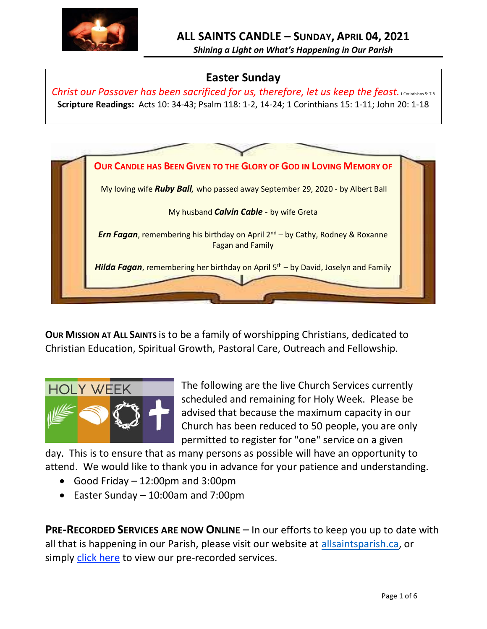

*Shining a Light on What's Happening in Our Parish*

# **Easter Sunday**

*Christ our Passover has been sacrificed for us, therefore, let us keep the feast. 1 Corinthians 5: 7-8* **Scripture Readings:** Acts 10: 34-43; Psalm 118: 1-2, 14-24; 1 Corinthians 15: 1-11; John 20: 1-18



**OUR MISSION AT ALL SAINTS** is to be a family of worshipping Christians, dedicated to Christian Education, Spiritual Growth, Pastoral Care, Outreach and Fellowship.



The following are the live Church Services currently scheduled and remaining for Holy Week. Please be advised that because the maximum capacity in our Church has been reduced to 50 people, you are only permitted to register for "one" service on a given

day. This is to ensure that as many persons as possible will have an opportunity to attend. We would like to thank you in advance for your patience and understanding.

- Good Friday 12:00pm and 3:00pm
- Easter Sunday 10:00am and 7:00pm

**PRE-RECORDED SERVICES ARE NOW ONLINE** – In our efforts to keep you up to date with all that is happening in our Parish, please visit our website at [allsaintsparish.ca,](http://allsaintsparish.ca/) or simply [click here](http://allsaintsparish.ca/recorded-church-services) to view our pre-recorded services.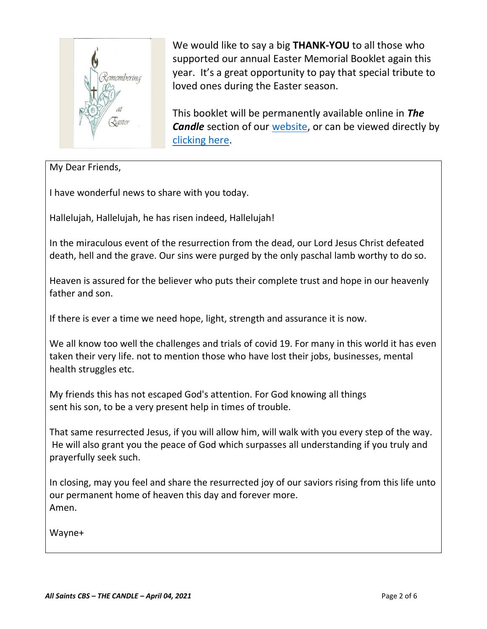

We would like to say a big **THANK-YOU** to all those who supported our annual Easter Memorial Booklet again this year. It's a great opportunity to pay that special tribute to loved ones during the Easter season.

This booklet will be permanently available online in *The Candle* section of our [website,](http://allsaintsparish.ca/) or can be viewed directly by [clicking here.](http://allsaintsparish.ca/candle/2021%20Candle/2021_Easter_Memorials.pdf)

My Dear Friends,

I have wonderful news to share with you today.

Hallelujah, Hallelujah, he has risen indeed, Hallelujah!

In the miraculous event of the resurrection from the dead, our Lord Jesus Christ defeated death, hell and the grave. Our sins were purged by the only paschal lamb worthy to do so.

Heaven is assured for the believer who puts their complete trust and hope in our heavenly father and son.

If there is ever a time we need hope, light, strength and assurance it is now.

We all know too well the challenges and trials of covid 19. For many in this world it has even taken their very life. not to mention those who have lost their jobs, businesses, mental health struggles etc.

My friends this has not escaped God's attention. For God knowing all things sent his son, to be a very present help in times of trouble.

That same resurrected Jesus, if you will allow him, will walk with you every step of the way. He will also grant you the peace of God which surpasses all understanding if you truly and prayerfully seek such.

In closing, may you feel and share the resurrected joy of our saviors rising from this life unto our permanent home of heaven this day and forever more. Amen.

Wayne+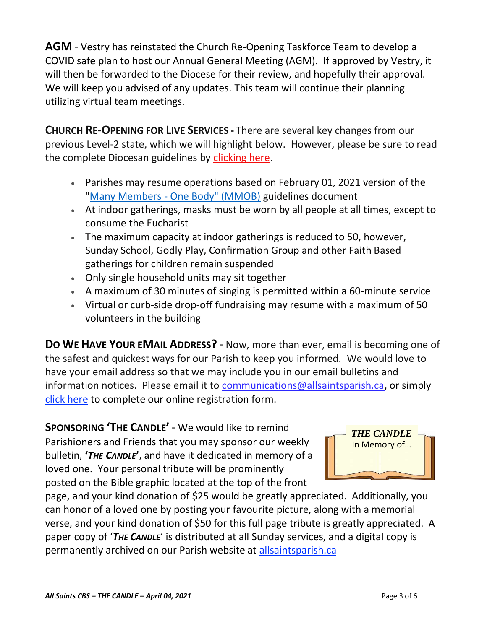**AGM** - Vestry has reinstated the Church Re-Opening Taskforce Team to develop a COVID safe plan to host our Annual General Meeting (AGM). If approved by Vestry, it will then be forwarded to the Diocese for their review, and hopefully their approval. We will keep you advised of any updates. This team will continue their planning utilizing virtual team meetings.

**CHURCH RE-OPENING FOR LIVE SERVICES -** There are several key changes from our previous Level-2 state, which we will highlight below. However, please be sure to read the complete Diocesan guidelines by [clicking here.](http://allsaintsparish.ca/document_library/COVID-19/210324%20COVID-19%20Revised%20Alert%20Level%202%20effective%20March%2027%202021.pdf)

- Parishes may resume operations based on February 01, 2021 version of the "Many Members - [One Body" \(MMOB\)](https://anglicanenl.net/home/wp-content/uploads/2021/02/Many-Members-One-Body-February-2021.pdf) guidelines document
- At indoor gatherings, masks must be worn by all people at all times, except to consume the Eucharist
- The maximum capacity at indoor gatherings is reduced to 50, however, Sunday School, Godly Play, Confirmation Group and other Faith Based gatherings for children remain suspended
- Only single household units may sit together
- A maximum of 30 minutes of singing is permitted within a 60-minute service
- Virtual or curb-side drop-off fundraising may resume with a maximum of 50 volunteers in the building

**DO WE HAVE YOUR EMAIL ADDRESS?** - Now, more than ever, email is becoming one of the safest and quickest ways for our Parish to keep you informed. We would love to have your email address so that we may include you in our email bulletins and information notices. Please email it to [communications@allsaintsparish.ca,](mailto:communications@allsaintsparish.ca?subject=eMail%20Address%20Update) or simply [click here](http://allsaintsparish.ca/email_updates) to complete our online registration form.

**SPONSORING 'THE CANDLE'** - We would like to remind Parishioners and Friends that you may sponsor our weekly bulletin, **'***THE CANDLE***'**, and have it dedicated in memory of a loved one. Your personal tribute will be prominently posted on the Bible graphic located at the top of the front



page, and your kind donation of \$25 would be greatly appreciated. Additionally, you can honor of a loved one by posting your favourite picture, along with a memorial verse, and your kind donation of \$50 for this full page tribute is greatly appreciated. A paper copy of '*THE CANDLE*' is distributed at all Sunday services, and a digital copy is permanently archived on our Parish website at [allsaintsparish.ca](http://allsaintsparish.ca/thecandle.html)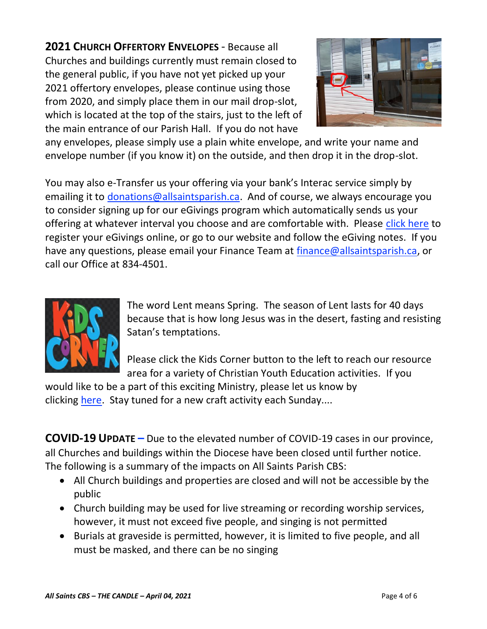**2021 CHURCH OFFERTORY ENVELOPES** - Because all Churches and buildings currently must remain closed to the general public, if you have not yet picked up your 2021 offertory envelopes, please continue using those from 2020, and simply place them in our mail drop-slot, which is located at the top of the stairs, just to the left of the main entrance of our Parish Hall. If you do not have



any envelopes, please simply use a plain white envelope, and write your name and envelope number (if you know it) on the outside, and then drop it in the drop-slot.

You may also e-Transfer us your offering via your bank's Interac service simply by emailing it to [donations@allsaintsparish.ca.](mailto:donations@allsaintsparish.ca) And of course, we always encourage you to consider signing up for our eGivings program which automatically sends us your offering at whatever interval you choose and are comfortable with. Please [click here](http://allsaintsparish.ca/egiving-online-information-form) to register your eGivings online, or go to our website and follow the eGiving notes. If you have [any](https://wfsites-to.websitecreatorprotool.com/870a5dd5.com/Admin/%7BSK_NODEID__22939341__SK%7D) questions, please email your Finance Team at [finance@allsaintsparish.ca,](mailto:finance@allsaintsparish.ca) or call our Office at 834-4501.



The word Lent means Spring. The season of Lent lasts for 40 days because that is how long Jesus was in the desert, fasting and resisting Satan's temptations.

Please [click](http://allsaintsparish.ca/kids-corner) the Kids Corner button to the left to reach our resource area for a variety of Christian Youth Education activities. If you

would like to be a part of this exciting Ministry, please let us know by clicking [here.](http://allsaintsparish.ca/index.html#comments) Stay tuned for a new craft activity each Sunday....

**COVID-19 UPDATE –** Due to the elevated number of COVID-19 cases in our province, all Churches and buildings within the Diocese have been closed until further notice. The following is a summary of the impacts on All Saints Parish CBS:

- All Church buildings and properties are closed and will not be accessible by the public
- Church building may be used for live streaming or recording worship services, however, it must not exceed five people, and singing is not permitted
- Burials at graveside is permitted, however, it is limited to five people, and all must be masked, and there can be no singing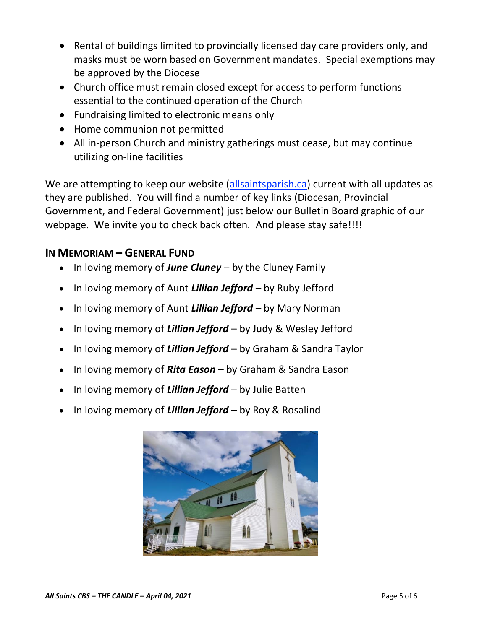- Rental of buildings limited to provincially licensed day care providers only, and masks must be worn based on Government mandates. Special exemptions may be approved by the Diocese
- Church office must remain closed except for access to perform functions essential to the continued operation of the Church
- Fundraising limited to electronic means only
- Home communion not permitted
- All in-person Church and ministry gatherings must cease, but may continue utilizing on-line facilities

We are attempting to keep our website [\(allsaintsparish.ca\)](/Users/ralphfagan/Documents/All%20Saints%20Parish/Candle/ASP%202021%20Candle/allsaintsparish.ca) current with all updates as they are published. You will find a number of key links (Diocesan, Provincial Government, and Federal Government) just below our Bulletin Board graphic of our webpage. We invite you to check back often. And please stay safe!!!!

## **IN MEMORIAM – GENERAL FUND**

- In loving memory of *June Cluney* by the Cluney Family
- In loving memory of Aunt *Lillian Jefford* by Ruby Jefford
- In loving memory of Aunt *Lillian Jefford* by Mary Norman
- In loving memory of *Lillian Jefford* by Judy & Wesley Jefford
- In loving memory of *Lillian Jefford* by Graham & Sandra Taylor
- In loving memory of *Rita Eason* by Graham & Sandra Eason
- In loving memory of *Lillian Jefford* by Julie Batten
- In loving memory of *Lillian Jefford* by Roy & Rosalind